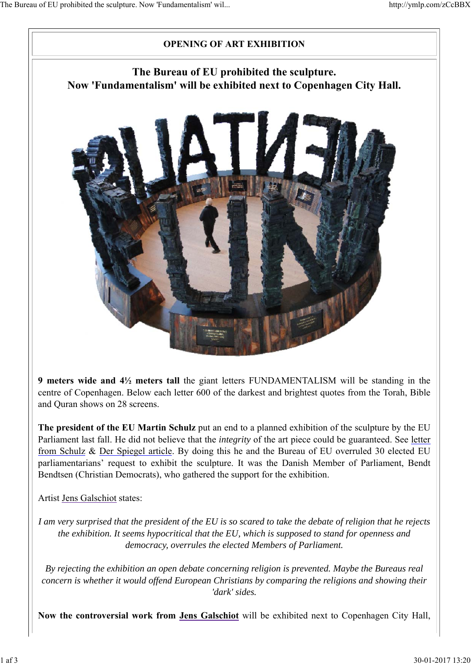

**9 meters wide and 4½ meters tall** the giant letters FUNDAMENTALISM will be standing in the centre of Copenhagen. Below each letter 600 of the darkest and brightest quotes from the Torah, Bible and Quran shows on 28 screens.

**The president of the EU Martin Schulz** put an end to a planned exhibition of the sculpture by the EU Parliament last fall. He did not believe that the *integrity* of the art piece could be guaranteed. See letter from Schulz & Der Spiegel article. By doing this he and the Bureau of EU overruled 30 elected EU parliamentarians' request to exhibit the sculpture. It was the Danish Member of Parliament, Bendt Bendtsen (Christian Democrats), who gathered the support for the exhibition.

Artist Jens Galschiot states:

*I am very surprised that the president of the EU is so scared to take the debate of religion that he rejects the exhibition. It seems hypocritical that the EU, which is supposed to stand for openness and democracy, overrules the elected Members of Parliament.*

*By rejecting the exhibition an open debate concerning religion is prevented. Maybe the Bureaus real concern is whether it would offend European Christians by comparing the religions and showing their 'dark' sides.*

**Now the controversial work from Jens Galschiot** will be exhibited next to Copenhagen City Hall,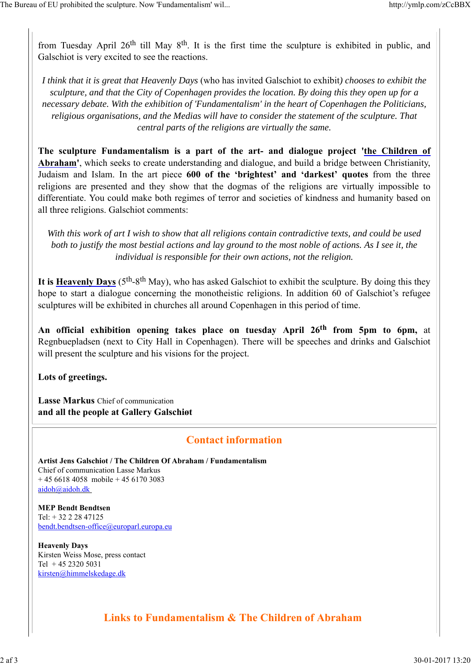from Tuesday April 26<sup>th</sup> till May 8<sup>th</sup>. It is the first time the sculpture is exhibited in public, and Galschiot is very excited to see the reactions.

*I think that it is great that Heavenly Days* (who has invited Galschiot to exhibit*) chooses to exhibit the sculpture, and that the City of Copenhagen provides the location. By doing this they open up for a necessary debate. With the exhibition of 'Fundamentalism' in the heart of Copenhagen the Politicians, religious organisations, and the Medias will have to consider the statement of the sculpture. That central parts of the religions are virtually the same.*

**The sculpture Fundamentalism is a part of the art- and dialogue project 'the Children of Abraham'**, which seeks to create understanding and dialogue, and build a bridge between Christianity, Judaism and Islam. In the art piece **600 of the 'brightest' and 'darkest' quotes** from the three religions are presented and they show that the dogmas of the religions are virtually impossible to differentiate. You could make both regimes of terror and societies of kindness and humanity based on all three religions. Galschiot comments:

*With this work of art I wish to show that all religions contain contradictive texts, and could be used both to justify the most bestial actions and lay ground to the most noble of actions. As I see it, the individual is responsible for their own actions, not the religion.*

It is Heavenly Days  $(5<sup>th</sup>-8<sup>th</sup>$  May), who has asked Galschiot to exhibit the sculpture. By doing this they hope to start a dialogue concerning the monotheistic religions. In addition 60 of Galschiot's refugee sculptures will be exhibited in churches all around Copenhagen in this period of time.

**An official exhibition opening takes place on tuesday April 26th from 5pm to 6pm,** at Regnbuepladsen (next to City Hall in Copenhagen). There will be speeches and drinks and Galschiot will present the sculpture and his visions for the project.

**Lots of greetings.**

**Lasse Markus** Chief of communication **and all the people at Gallery Galschiøt**

## **Contact information**

**Artist Jens Galschiot / The Children Of Abraham / Fundamentalism** Chief of communication Lasse Markus  $+ 4566184058$  mobile  $+ 4561703083$ aidoh@aidoh.dk

**MEP Bendt Bendtsen**  Tel: + 32 2 28 47125 bendt.bendtsen-office@europarl.europa.eu

**Heavenly Days** Kirsten Weiss Mose, press contact Tel + 45 2320 5031 kirsten@himmelskedage.dk

**Links to Fundamentalism & The Children of Abraham**